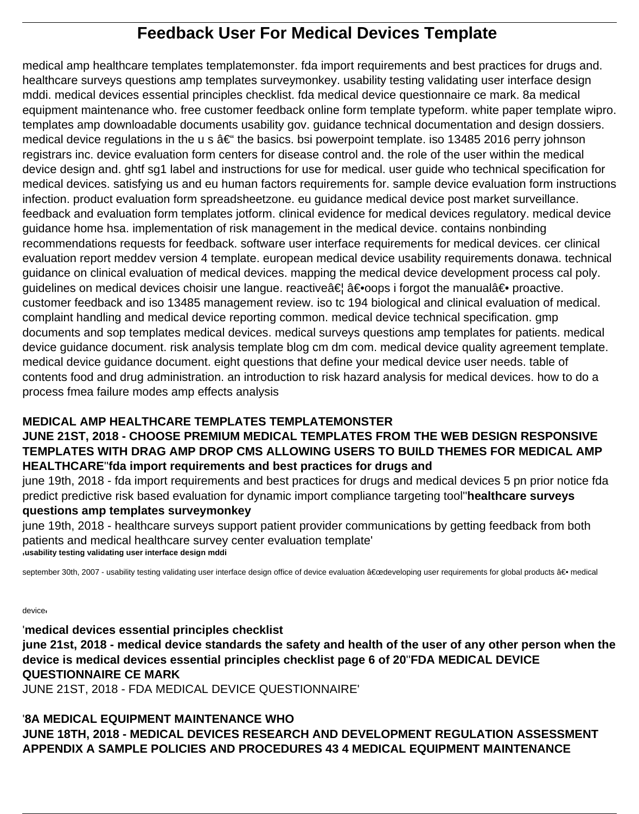# **Feedback User For Medical Devices Template**

medical amp healthcare templates templatemonster. fda import requirements and best practices for drugs and. healthcare surveys questions amp templates surveymonkey. usability testing validating user interface design mddi. medical devices essential principles checklist. fda medical device questionnaire ce mark. 8a medical equipment maintenance who. free customer feedback online form template typeform. white paper template wipro. templates amp downloadable documents usability gov. guidance technical documentation and design dossiers. medical device regulations in the u s  $\hat{a} \in \mathfrak{m}$  the basics. bsi powerpoint template. iso 13485 2016 perry johnson registrars inc. device evaluation form centers for disease control and. the role of the user within the medical device design and. ghtf sg1 label and instructions for use for medical. user guide who technical specification for medical devices. satisfying us and eu human factors requirements for. sample device evaluation form instructions infection. product evaluation form spreadsheetzone. eu guidance medical device post market surveillance. feedback and evaluation form templates jotform. clinical evidence for medical devices regulatory. medical device guidance home hsa. implementation of risk management in the medical device. contains nonbinding recommendations requests for feedback. software user interface requirements for medical devices. cer clinical evaluation report meddev version 4 template. european medical device usability requirements donawa. technical guidance on clinical evaluation of medical devices. mapping the medical device development process cal poly. guidelines on medical devices choisir une langue. reactive†â€•oops i forgot the manual― proactive. customer feedback and iso 13485 management review. iso tc 194 biological and clinical evaluation of medical. complaint handling and medical device reporting common. medical device technical specification. gmp documents and sop templates medical devices. medical surveys questions amp templates for patients. medical device guidance document. risk analysis template blog cm dm com. medical device quality agreement template. medical device guidance document. eight questions that define your medical device user needs. table of contents food and drug administration. an introduction to risk hazard analysis for medical devices. how to do a process fmea failure modes amp effects analysis

### **MEDICAL AMP HEALTHCARE TEMPLATES TEMPLATEMONSTER**

### **JUNE 21ST, 2018 - CHOOSE PREMIUM MEDICAL TEMPLATES FROM THE WEB DESIGN RESPONSIVE TEMPLATES WITH DRAG AMP DROP CMS ALLOWING USERS TO BUILD THEMES FOR MEDICAL AMP HEALTHCARE**''**fda import requirements and best practices for drugs and**

june 19th, 2018 - fda import requirements and best practices for drugs and medical devices 5 pn prior notice fda predict predictive risk based evaluation for dynamic import compliance targeting tool''**healthcare surveys questions amp templates surveymonkey**

june 19th, 2018 - healthcare surveys support patient provider communications by getting feedback from both patients and medical healthcare survey center evaluation template' '**usability testing validating user interface design mddi**

september 30th, 2007 - usability testing validating user interface design office of device evaluation "developing user requirements for global products ― medical

device'

'**medical devices essential principles checklist june 21st, 2018 - medical device standards the safety and health of the user of any other person when the device is medical devices essential principles checklist page 6 of 20**''**FDA MEDICAL DEVICE QUESTIONNAIRE CE MARK** JUNE 21ST, 2018 - FDA MEDICAL DEVICE QUESTIONNAIRE'

#### '**8A MEDICAL EQUIPMENT MAINTENANCE WHO JUNE 18TH, 2018 - MEDICAL DEVICES RESEARCH AND DEVELOPMENT REGULATION ASSESSMENT APPENDIX A SAMPLE POLICIES AND PROCEDURES 43 4 MEDICAL EQUIPMENT MAINTENANCE**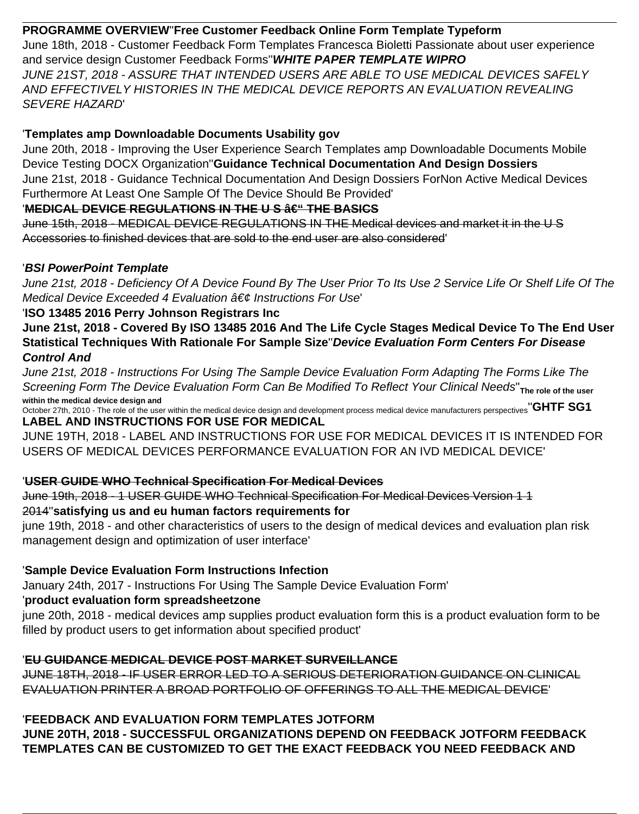### **PROGRAMME OVERVIEW**''**Free Customer Feedback Online Form Template Typeform**

June 18th, 2018 - Customer Feedback Form Templates Francesca Bioletti Passionate about user experience and service design Customer Feedback Forms''**WHITE PAPER TEMPLATE WIPRO** JUNE 21ST, 2018 - ASSURE THAT INTENDED USERS ARE ABLE TO USE MEDICAL DEVICES SAFELY AND EFFECTIVELY HISTORIES IN THE MEDICAL DEVICE REPORTS AN EVALUATION REVEALING SEVERE HAZARD'

### '**Templates amp Downloadable Documents Usability gov**

June 20th, 2018 - Improving the User Experience Search Templates amp Downloadable Documents Mobile Device Testing DOCX Organization''**Guidance Technical Documentation And Design Dossiers** June 21st, 2018 - Guidance Technical Documentation And Design Dossiers ForNon Active Medical Devices Furthermore At Least One Sample Of The Device Should Be Provided'

### 'MEDICAL DEVICE REGULATIONS IN THE US  $a \in$ " THE BASICS

June 15th, 2018 - MEDICAL DEVICE REGULATIONS IN THE Medical devices and market it in the U S Accessories to finished devices that are sold to the end user are also considered'

### '**BSI PowerPoint Template**

June 21st, 2018 - Deficiency Of A Device Found By The User Prior To Its Use 2 Service Life Or Shelf Life Of The Medical Device Exceeded 4 Evaluation  $\hat{a} \in \emptyset$  Instructions For Use

### '**ISO 13485 2016 Perry Johnson Registrars Inc**

**June 21st, 2018 - Covered By ISO 13485 2016 And The Life Cycle Stages Medical Device To The End User Statistical Techniques With Rationale For Sample Size**''**Device Evaluation Form Centers For Disease Control And**

June 21st, 2018 - Instructions For Using The Sample Device Evaluation Form Adapting The Forms Like The Screening Form The Device Evaluation Form Can Be Modified To Reflect Your Clinical Needs"<sub>The role of the user</sub> **within the medical device design and**

October 27th, 2010 - The role of the user within the medical device design and development process medical device manufacturers perspectives<sup>"</sup>GHTF SG1 **LABEL AND INSTRUCTIONS FOR USE FOR MEDICAL**

JUNE 19TH, 2018 - LABEL AND INSTRUCTIONS FOR USE FOR MEDICAL DEVICES IT IS INTENDED FOR USERS OF MEDICAL DEVICES PERFORMANCE EVALUATION FOR AN IVD MEDICAL DEVICE'

# '**USER GUIDE WHO Technical Specification For Medical Devices**

June 19th, 2018 - 1 USER GUIDE WHO Technical Specification For Medical Devices Version 1 1 2014''**satisfying us and eu human factors requirements for**

june 19th, 2018 - and other characteristics of users to the design of medical devices and evaluation plan risk management design and optimization of user interface'

## '**Sample Device Evaluation Form Instructions Infection**

January 24th, 2017 - Instructions For Using The Sample Device Evaluation Form'

## '**product evaluation form spreadsheetzone**

june 20th, 2018 - medical devices amp supplies product evaluation form this is a product evaluation form to be filled by product users to get information about specified product'

# '**EU GUIDANCE MEDICAL DEVICE POST MARKET SURVEILLANCE**

JUNE 18TH, 2018 - IF USER ERROR LED TO A SERIOUS DETERIORATION GUIDANCE ON CLINICAL EVALUATION PRINTER A BROAD PORTFOLIO OF OFFERINGS TO ALL THE MEDICAL DEVICE'

# '**FEEDBACK AND EVALUATION FORM TEMPLATES JOTFORM**

**JUNE 20TH, 2018 - SUCCESSFUL ORGANIZATIONS DEPEND ON FEEDBACK JOTFORM FEEDBACK TEMPLATES CAN BE CUSTOMIZED TO GET THE EXACT FEEDBACK YOU NEED FEEDBACK AND**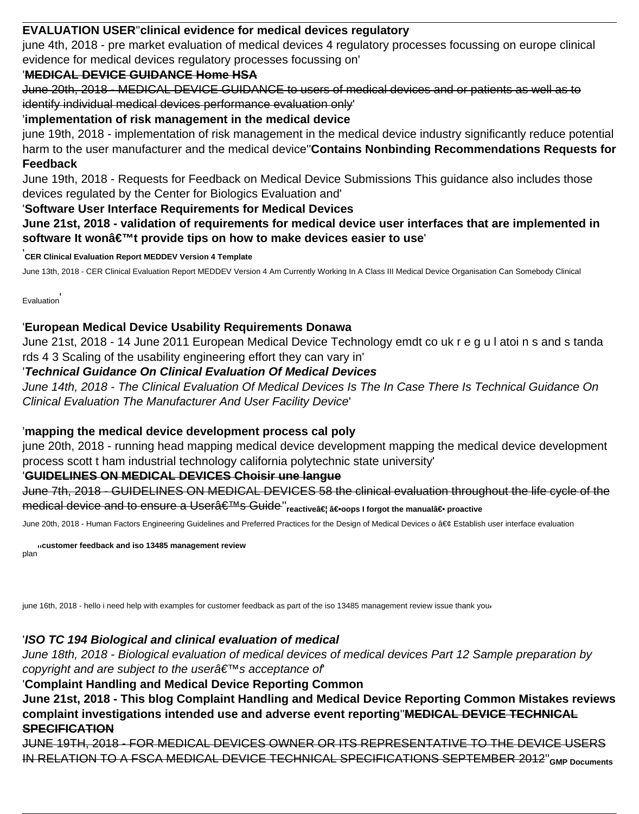### **EVALUATION USER**''**clinical evidence for medical devices regulatory**

june 4th, 2018 - pre market evaluation of medical devices 4 regulatory processes focussing on europe clinical evidence for medical devices regulatory processes focussing on'

### '**MEDICAL DEVICE GUIDANCE Home HSA**

June 20th, 2018 - MEDICAL DEVICE GUIDANCE to users of medical devices and or patients as well as to identify individual medical devices performance evaluation only'

#### '**implementation of risk management in the medical device**

june 19th, 2018 - implementation of risk management in the medical device industry significantly reduce potential harm to the user manufacturer and the medical device''**Contains Nonbinding Recommendations Requests for Feedback**

June 19th, 2018 - Requests for Feedback on Medical Device Submissions This guidance also includes those devices regulated by the Center for Biologics Evaluation and'

#### '**Software User Interface Requirements for Medical Devices**

**June 21st, 2018 - validation of requirements for medical device user interfaces that are implemented in** software It wonâ€<sup>™</sup>t provide tips on how to make devices easier to use

'**CER Clinical Evaluation Report MEDDEV Version 4 Template**

June 13th, 2018 - CER Clinical Evaluation Report MEDDEV Version 4 Am Currently Working In A Class III Medical Device Organisation Can Somebody Clinical

**Evaluation** 

### '**European Medical Device Usability Requirements Donawa**

June 21st, 2018 - 14 June 2011 European Medical Device Technology emdt co uk r e g u l atoi n s and s tanda rds 4 3 Scaling of the usability engineering effort they can vary in'

#### '**Technical Guidance On Clinical Evaluation Of Medical Devices**

June 14th, 2018 - The Clinical Evaluation Of Medical Devices Is The In Case There Is Technical Guidance On Clinical Evaluation The Manufacturer And User Facility Device'

#### '**mapping the medical device development process cal poly**

june 20th, 2018 - running head mapping medical device development mapping the medical device development process scott t ham industrial technology california polytechnic state university'

#### '**GUIDELINES ON MEDICAL DEVICES Choisir une langue**

June 7th, 2018 - GUIDELINES ON MEDICAL DEVICES 58 the clinical evaluation throughout the life cycle of the medical device and to ensure a Usera<sup>€™s</sup> Guide" reactivea€ a if orgot the manuala if proactive

June 20th, 2018 - Human Factors Engineering Guidelines and Preferred Practices for the Design of Medical Devices o • Establish user interface evaluation

plan''**customer feedback and iso 13485 management review**

june 16th, 2018 - hello i need help with examples for customer feedback as part of the iso 13485 management review issue thank your

## '**ISO TC 194 Biological and clinical evaluation of medical**

June 18th, 2018 - Biological evaluation of medical devices of medical devices Part 12 Sample preparation by copyright and are subject to the user  $\hat{\theta} \in \mathbb{R}^N$ s acceptance of

# '**Complaint Handling and Medical Device Reporting Common**

**June 21st, 2018 - This blog Complaint Handling and Medical Device Reporting Common Mistakes reviews complaint investigations intended use and adverse event reporting**''**MEDICAL DEVICE TECHNICAL SPECIFICATION**

JUNE 19TH, 2018 - FOR MEDICAL DEVICES OWNER OR ITS REPRESENTATIVE TO THE DEVICE USERS IN RELATION TO A FSCA MEDICAL DEVICE TECHNICAL SPECIFICATIONS SEPTEMBER 2012''**GMP Documents**